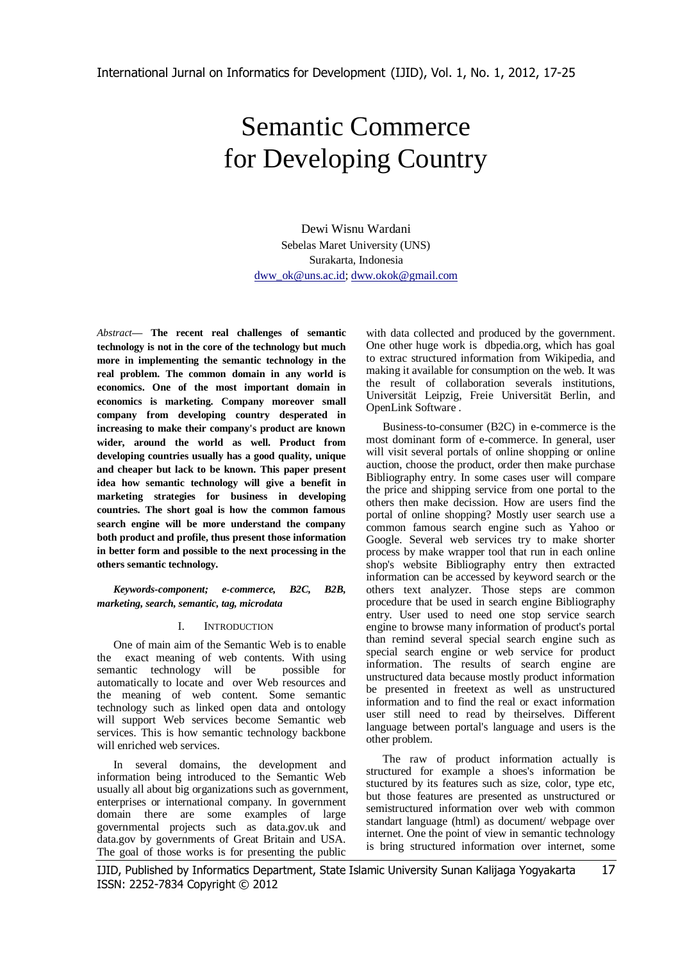# Semantic Commerce for Developing Country

Dewi Wisnu Wardani Sebelas Maret University (UNS) Surakarta, Indonesia [dww\\_ok@uns.ac.id;](mailto:dww_ok@uns.ac.id) [dww.okok@gmail.com](mailto:dww.okok@gmail.com)

*Abstract***— The recent real challenges of semantic technology is not in the core of the technology but much more in implementing the semantic technology in the real problem. The common domain in any world is economics. One of the most important domain in economics is marketing. Company moreover small company from developing country desperated in increasing to make their company's product are known wider, around the world as well. Product from developing countries usually has a good quality, unique and cheaper but lack to be known. This paper present idea how semantic technology will give a benefit in marketing strategies for business in developing countries. The short goal is how the common famous search engine will be more understand the company both product and profile, thus present those information in better form and possible to the next processing in the others semantic technology.**

*Keywords-component; e-commerce, B2C, B2B, marketing, search, semantic, tag, microdata*

# I. INTRODUCTION

One of main aim of the Semantic Web is to enable the exact meaning of web contents. With using semantic technology will be possible for automatically to locate and over Web resources and the meaning of web content. Some semantic technology such as linked open data and ontology will support Web services become Semantic web services. This is how semantic technology backbone will enriched web services.

In several domains, the development and information being introduced to the Semantic Web usually all about big organizations such as government, enterprises or international company. In government domain there are some examples of large governmental projects such as data.gov.uk and data.gov by governments of Great Britain and USA. The goal of those works is for presenting the public

with data collected and produced by the government. One other huge work is dbpedia.org, which has goal to extrac structured information from Wikipedia, and making it available for consumption on the web. It was the result of collaboration severals institutions, Universität Leipzig, Freie Universität Berlin, and OpenLink Software .

Business-to-consumer (B2C) in e-commerce is the most dominant form of e-commerce. In general, user will visit several portals of online shopping or online auction, choose the product, order then make purchase Bibliography entry. In some cases user will compare the price and shipping service from one portal to the others then make decission. How are users find the portal of online shopping? Mostly user search use a common famous search engine such as Yahoo or Google. Several web services try to make shorter process by make wrapper tool that run in each online shop's website Bibliography entry then extracted information can be accessed by keyword search or the others text analyzer. Those steps are common procedure that be used in search engine Bibliography entry. User used to need one stop service search engine to browse many information of product's portal than remind several special search engine such as special search engine or web service for product information. The results of search engine are unstructured data because mostly product information be presented in freetext as well as unstructured information and to find the real or exact information user still need to read by theirselves. Different language between portal's language and users is the other problem.

The raw of product information actually is structured for example a shoes's information be stuctured by its features such as size, color, type etc, but those features are presented as unstructured or semistructured information over web with common standart language (html) as document/ webpage over internet. One the point of view in semantic technology is bring structured information over internet, some

IJID, Published by Informatics Department, State Islamic University Sunan Kalijaga Yogyakarta 17 ISSN: 2252-7834 Copyright © 2012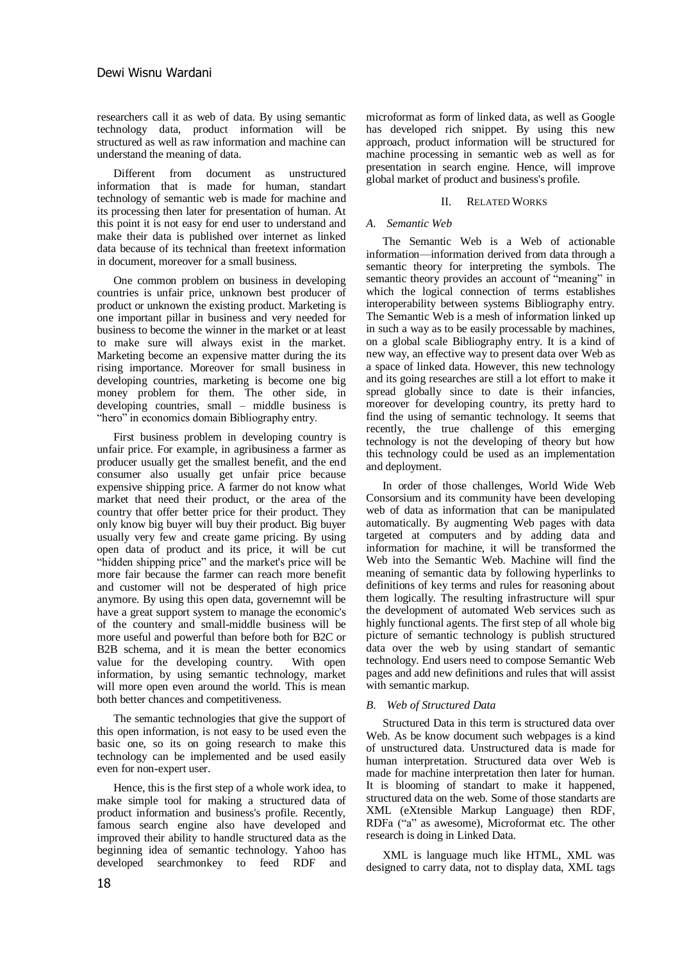researchers call it as web of data. By using semantic technology data, product information will be structured as well as raw information and machine can understand the meaning of data.

Different from document as unstructured information that is made for human, standart technology of semantic web is made for machine and its processing then later for presentation of human. At this point it is not easy for end user to understand and make their data is published over internet as linked data because of its technical than freetext information in document, moreover for a small business.

One common problem on business in developing countries is unfair price, unknown best producer of product or unknown the existing product. Marketing is one important pillar in business and very needed for business to become the winner in the market or at least to make sure will always exist in the market. Marketing become an expensive matter during the its rising importance. Moreover for small business in developing countries, marketing is become one big money problem for them. The other side, in developing countries, small – middle business is "hero" in economics domain Bibliography entry.

First business problem in developing country is unfair price. For example, in agribusiness a farmer as producer usually get the smallest benefit, and the end consumer also usually get unfair price because expensive shipping price. A farmer do not know what market that need their product, or the area of the country that offer better price for their product. They only know big buyer will buy their product. Big buyer usually very few and create game pricing. By using open data of product and its price, it will be cut "hidden shipping price" and the market's price will be more fair because the farmer can reach more benefit and customer will not be desperated of high price anymore. By using this open data, governemnt will be have a great support system to manage the economic's of the countery and small-middle business will be more useful and powerful than before both for B2C or B2B schema, and it is mean the better economics value for the developing country. With open information, by using semantic technology, market will more open even around the world. This is mean both better chances and competitiveness.

The semantic technologies that give the support of this open information, is not easy to be used even the basic one, so its on going research to make this technology can be implemented and be used easily even for non-expert user.

Hence, this is the first step of a whole work idea, to make simple tool for making a structured data of product information and business's profile. Recently, famous search engine also have developed and improved their ability to handle structured data as the beginning idea of semantic technology. Yahoo has developed searchmonkey to feed RDF and

microformat as form of linked data, as well as Google has developed rich snippet. By using this new approach, product information will be structured for machine processing in semantic web as well as for presentation in search engine. Hence, will improve global market of product and business's profile.

# II. RELATED WORKS

# *A. Semantic Web*

The Semantic Web is a Web of actionable information—information derived from data through a semantic theory for interpreting the symbols. The semantic theory provides an account of "meaning" in which the logical connection of terms establishes interoperability between systems Bibliography entry. The Semantic Web is a mesh of information linked up in such a way as to be easily processable by machines, on a global scale Bibliography entry. It is a kind of new way, an effective way to present data over Web as a space of linked data. However, this new technology and its going researches are still a lot effort to make it spread globally since to date is their infancies, moreover for developing country, its pretty hard to find the using of semantic technology. It seems that recently, the true challenge of this emerging technology is not the developing of theory but how this technology could be used as an implementation and deployment.

In order of those challenges, World Wide Web Consorsium and its community have been developing web of data as information that can be manipulated automatically. By augmenting Web pages with data targeted at computers and by adding data and information for machine, it will be transformed the Web into the Semantic Web. Machine will find the meaning of semantic data by following hyperlinks to definitions of key terms and rules for reasoning about them logically. The resulting infrastructure will spur the development of automated Web services such as highly functional agents. The first step of all whole big picture of semantic technology is publish structured data over the web by using standart of semantic technology. End users need to compose Semantic Web pages and add new definitions and rules that will assist with semantic markup.

# *B. Web of Structured Data*

Structured Data in this term is structured data over Web. As be know document such webpages is a kind of unstructured data. Unstructured data is made for human interpretation. Structured data over Web is made for machine interpretation then later for human. It is blooming of standart to make it happened, structured data on the web. Some of those standarts are XML (eXtensible Markup Language) then RDF, RDFa ("a" as awesome), Microformat etc. The other research is doing in Linked Data.

XML is language much like HTML, XML was designed to carry data, not to display data, XML tags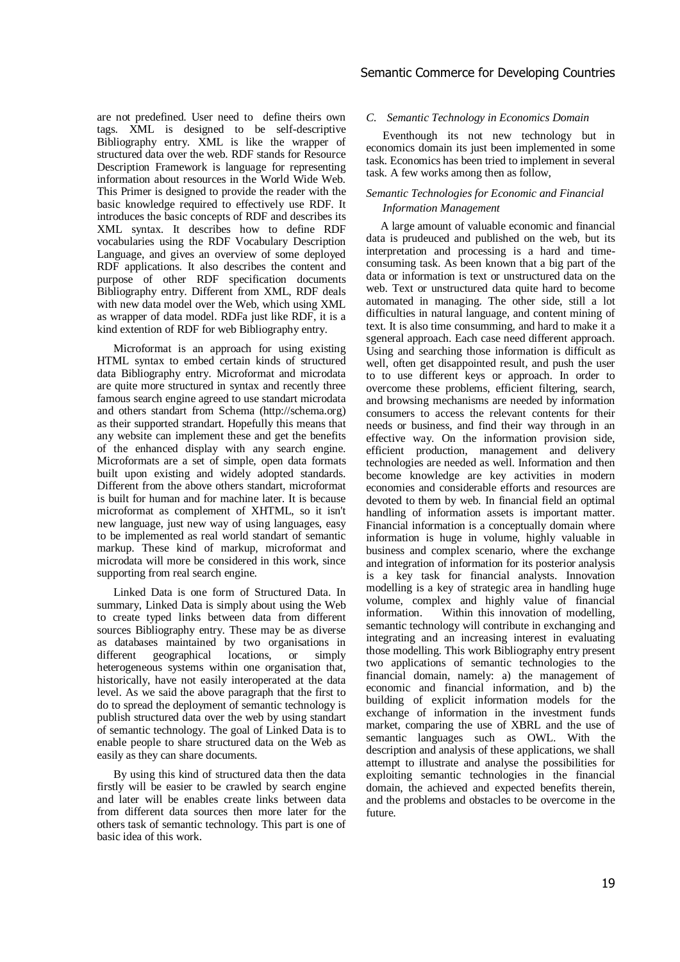are not predefined. User need to define theirs own tags. XML is designed to be self-descriptive Bibliography entry. XML is like the wrapper of structured data over the web. RDF stands for Resource Description Framework is language for representing information about resources in the World Wide Web. This Primer is designed to provide the reader with the basic knowledge required to effectively use RDF. It introduces the basic concepts of RDF and describes its XML syntax. It describes how to define RDF vocabularies using the RDF Vocabulary Description Language, and gives an overview of some deployed RDF applications. It also describes the content and purpose of other RDF specification documents Bibliography entry. Different from XML, RDF deals with new data model over the Web, which using XML as wrapper of data model. RDFa just like RDF, it is a kind extention of RDF for web Bibliography entry.

Microformat is an approach for using existing HTML syntax to embed certain kinds of structured data Bibliography entry. Microformat and microdata are quite more structured in syntax and recently three famous search engine agreed to use standart microdata and others standart from Schema (http://schema.org) as their supported strandart. Hopefully this means that any website can implement these and get the benefits of the enhanced display with any search engine. Microformats are a set of simple, open data formats built upon existing and widely adopted standards. Different from the above others standart, microformat is built for human and for machine later. It is because microformat as complement of XHTML, so it isn't new language, just new way of using languages, easy to be implemented as real world standart of semantic markup. These kind of markup, microformat and microdata will more be considered in this work, since supporting from real search engine.

Linked Data is one form of Structured Data. In summary, Linked Data is simply about using the Web to create typed links between data from different sources Bibliography entry. These may be as diverse as databases maintained by two organisations in geographical locations, or simply heterogeneous systems within one organisation that, historically, have not easily interoperated at the data level. As we said the above paragraph that the first to do to spread the deployment of semantic technology is publish structured data over the web by using standart of semantic technology. The goal of Linked Data is to enable people to share structured data on the Web as easily as they can share documents.

By using this kind of structured data then the data firstly will be easier to be crawled by search engine and later will be enables create links between data from different data sources then more later for the others task of semantic technology. This part is one of basic idea of this work.

# *C. Semantic Technology in Economics Domain*

Eventhough its not new technology but in economics domain its just been implemented in some task. Economics has been tried to implement in several task. A few works among then as follow,

# *Semantic Technologies for Economic and Financial Information Management*

 A large amount of valuable economic and financial data is prudeuced and published on the web, but its interpretation and processing is a hard and timeconsuming task. As been known that a big part of the data or information is text or unstructured data on the web. Text or unstructured data quite hard to become automated in managing. The other side, still a lot difficulties in natural language, and content mining of text. It is also time consumming, and hard to make it a sgeneral approach. Each case need different approach. Using and searching those information is difficult as well, often get disappointed result, and push the user to to use different keys or approach. In order to overcome these problems, efficient filtering, search, and browsing mechanisms are needed by information consumers to access the relevant contents for their needs or business, and find their way through in an effective way. On the information provision side, efficient production, management and delivery technologies are needed as well. Information and then become knowledge are key activities in modern economies and considerable efforts and resources are devoted to them by web. In financial field an optimal handling of information assets is important matter. Financial information is a conceptually domain where information is huge in volume, highly valuable in business and complex scenario, where the exchange and integration of information for its posterior analysis is a key task for financial analysts. Innovation modelling is a key of strategic area in handling huge volume, complex and highly value of financial information. Within this innovation of modelling, semantic technology will contribute in exchanging and integrating and an increasing interest in evaluating those modelling. This work Bibliography entry present two applications of semantic technologies to the financial domain, namely: a) the management of economic and financial information, and b) the building of explicit information models for the exchange of information in the investment funds market, comparing the use of XBRL and the use of semantic languages such as OWL. With the description and analysis of these applications, we shall attempt to illustrate and analyse the possibilities for exploiting semantic technologies in the financial domain, the achieved and expected benefits therein, and the problems and obstacles to be overcome in the future.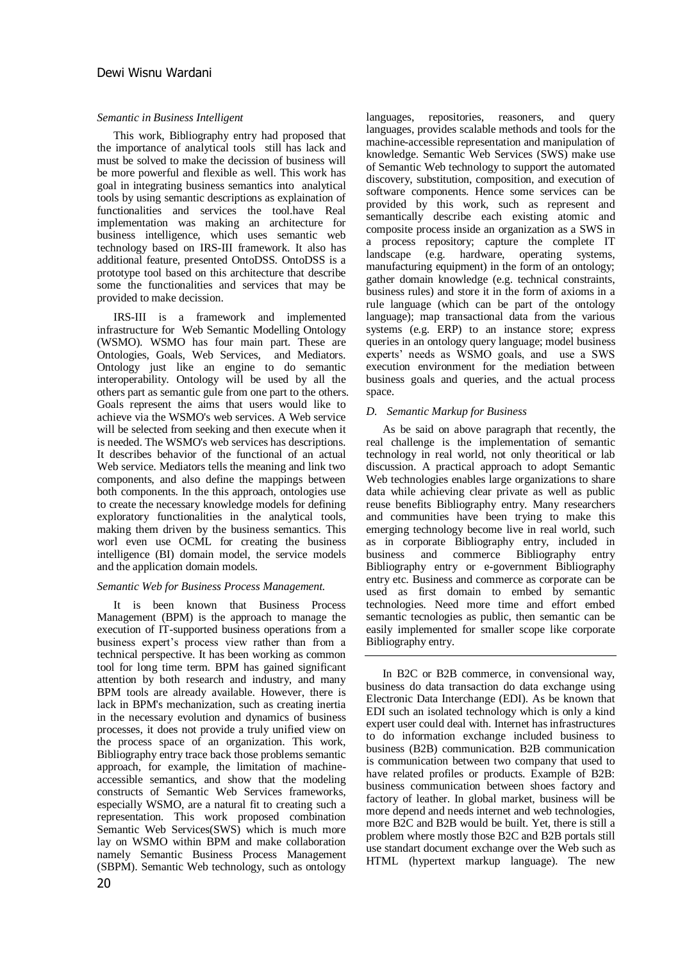# *Semantic in Business Intelligent*

This work, Bibliography entry had proposed that the importance of analytical tools still has lack and must be solved to make the decission of business will be more powerful and flexible as well. This work has goal in integrating business semantics into analytical tools by using semantic descriptions as explaination of functionalities and services the tool.have Real implementation was making an architecture for business intelligence, which uses semantic web technology based on IRS-III framework. It also has additional feature, presented OntoDSS. OntoDSS is a prototype tool based on this architecture that describe some the functionalities and services that may be provided to make decission.

IRS-III is a framework and implemented infrastructure for Web Semantic Modelling Ontology (WSMO). WSMO has four main part. These are Ontologies, Goals, Web Services, and Mediators. Ontology just like an engine to do semantic interoperability. Ontology will be used by all the others part as semantic gule from one part to the others. Goals represent the aims that users would like to achieve via the WSMO's web services. A Web service will be selected from seeking and then execute when it is needed. The WSMO's web services has descriptions. It describes behavior of the functional of an actual Web service. Mediators tells the meaning and link two components, and also define the mappings between both components. In the this approach, ontologies use to create the necessary knowledge models for defining exploratory functionalities in the analytical tools, making them driven by the business semantics. This worl even use OCML for creating the business intelligence (BI) domain model, the service models and the application domain models.

# *Semantic Web for Business Process Management.*

It is been known that Business Process Management (BPM) is the approach to manage the execution of IT-supported business operations from a business expert's process view rather than from a technical perspective. It has been working as common tool for long time term. BPM has gained significant attention by both research and industry, and many BPM tools are already available. However, there is lack in BPM's mechanization, such as creating inertia in the necessary evolution and dynamics of business processes, it does not provide a truly unified view on the process space of an organization. This work, Bibliography entry trace back those problems semantic approach, for example, the limitation of machineaccessible semantics, and show that the modeling constructs of Semantic Web Services frameworks, especially WSMO, are a natural fit to creating such a representation. This work proposed combination Semantic Web Services(SWS) which is much more lay on WSMO within BPM and make collaboration namely Semantic Business Process Management (SBPM). Semantic Web technology, such as ontology

languages, repositories, reasoners, and query languages, provides scalable methods and tools for the machine-accessible representation and manipulation of knowledge. Semantic Web Services (SWS) make use of Semantic Web technology to support the automated discovery, substitution, composition, and execution of software components. Hence some services can be provided by this work, such as represent and semantically describe each existing atomic and composite process inside an organization as a SWS in a process repository; capture the complete IT landscape (e.g. hardware, operating systems, manufacturing equipment) in the form of an ontology; gather domain knowledge (e.g. technical constraints, business rules) and store it in the form of axioms in a rule language (which can be part of the ontology language); map transactional data from the various systems (e.g. ERP) to an instance store; express queries in an ontology query language; model business experts' needs as WSMO goals, and use a SWS execution environment for the mediation between business goals and queries, and the actual process space.

# *D. Semantic Markup for Business*

As be said on above paragraph that recently, the real challenge is the implementation of semantic technology in real world, not only theoritical or lab discussion. A practical approach to adopt Semantic Web technologies enables large organizations to share data while achieving clear private as well as public reuse benefits Bibliography entry. Many researchers and communities have been trying to make this emerging technology become live in real world, such as in corporate Bibliography entry, included in business and commerce Bibliography entry Bibliography entry or e-government Bibliography entry etc. Business and commerce as corporate can be used as first domain to embed by semantic technologies. Need more time and effort embed semantic tecnologies as public, then semantic can be easily implemented for smaller scope like corporate Bibliography entry.

In B2C or B2B commerce, in convensional way, business do data transaction do data exchange using Electronic Data Interchange (EDI). As be known that EDI such an isolated technology which is only a kind expert user could deal with. Internet has infrastructures to do information exchange included business to business (B2B) communication. B2B communication is communication between two company that used to have related profiles or products. Example of B2B: business communication between shoes factory and factory of leather. In global market, business will be more depend and needs internet and web technologies, more B2C and B2B would be built. Yet, there is still a problem where mostly those B2C and B2B portals still use standart document exchange over the Web such as HTML (hypertext markup language). The new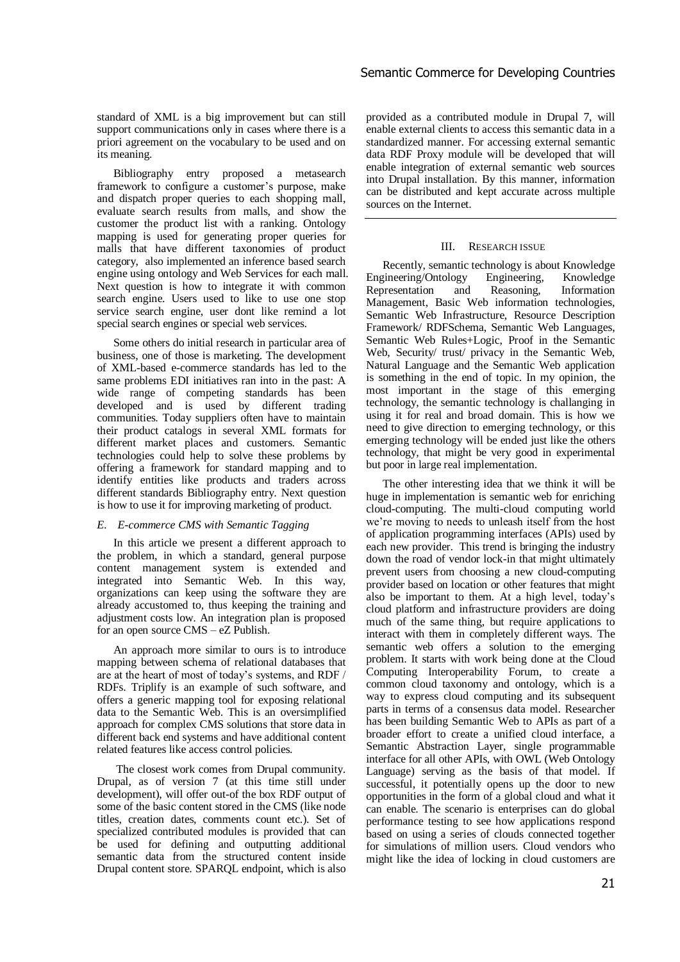standard of XML is a big improvement but can still support communications only in cases where there is a priori agreement on the vocabulary to be used and on its meaning.

Bibliography entry proposed a metasearch framework to configure a customer's purpose, make and dispatch proper queries to each shopping mall, evaluate search results from malls, and show the customer the product list with a ranking. Ontology mapping is used for generating proper queries for malls that have different taxonomies of product category, also implemented an inference based search engine using ontology and Web Services for each mall. Next question is how to integrate it with common search engine. Users used to like to use one stop service search engine, user dont like remind a lot special search engines or special web services.

Some others do initial research in particular area of business, one of those is marketing. The development of XML-based e-commerce standards has led to the same problems EDI initiatives ran into in the past: A wide range of competing standards has been developed and is used by different trading communities. Today suppliers often have to maintain their product catalogs in several XML formats for different market places and customers. Semantic technologies could help to solve these problems by offering a framework for standard mapping and to identify entities like products and traders across different standards Bibliography entry. Next question is how to use it for improving marketing of product.

# *E. E-commerce CMS with Semantic Tagging*

In this article we present a different approach to the problem, in which a standard, general purpose content management system is extended and integrated into Semantic Web. In this way, organizations can keep using the software they are already accustomed to, thus keeping the training and adjustment costs low. An integration plan is proposed for an open source CMS – eZ Publish.

An approach more similar to ours is to introduce mapping between schema of relational databases that are at the heart of most of today's systems, and RDF / RDFs. Triplify is an example of such software, and offers a generic mapping tool for exposing relational data to the Semantic Web. This is an oversimplified approach for complex CMS solutions that store data in different back end systems and have additional content related features like access control policies.

The closest work comes from Drupal community. Drupal, as of version 7 (at this time still under development), will offer out-of the box RDF output of some of the basic content stored in the CMS (like node titles, creation dates, comments count etc.). Set of specialized contributed modules is provided that can be used for defining and outputting additional semantic data from the structured content inside Drupal content store. SPARQL endpoint, which is also

provided as a contributed module in Drupal 7, will enable external clients to access this semantic data in a standardized manner. For accessing external semantic data RDF Proxy module will be developed that will enable integration of external semantic web sources into Drupal installation. By this manner, information can be distributed and kept accurate across multiple sources on the Internet.

# III. RESEARCH ISSUE

Recently, semantic technology is about Knowledge Engineering/Ontology Engineering, Knowledge<br>Representation and Reasoning, Information Representation and Reasoning, Information Management, Basic Web information technologies, Semantic Web Infrastructure, Resource Description Framework/ RDFSchema, Semantic Web Languages, Semantic Web Rules+Logic, Proof in the Semantic Web, Security/ trust/ privacy in the Semantic Web, Natural Language and the Semantic Web application is something in the end of topic. In my opinion, the most important in the stage of this emerging technology, the semantic technology is challanging in using it for real and broad domain. This is how we need to give direction to emerging technology, or this emerging technology will be ended just like the others technology, that might be very good in experimental but poor in large real implementation.

The other interesting idea that we think it will be huge in implementation is semantic web for enriching cloud-computing. The multi-cloud computing world we're moving to needs to unleash itself from the host of application programming interfaces (APIs) used by each new provider. This trend is bringing the industry down the road of vendor lock-in that might ultimately prevent users from choosing a new cloud-computing provider based on location or other features that might also be important to them. At a high level, today's cloud platform and infrastructure providers are doing much of the same thing, but require applications to interact with them in completely different ways. The semantic web offers a solution to the emerging problem. It starts with work being done at the Cloud Computing Interoperability Forum, to create a common cloud taxonomy and ontology, which is a way to express cloud computing and its subsequent parts in terms of a consensus data model. Researcher has been building Semantic Web to APIs as part of a broader effort to create a unified cloud interface, a Semantic Abstraction Layer, single programmable interface for all other APIs, with OWL (Web Ontology Language) serving as the basis of that model. If successful, it potentially opens up the door to new opportunities in the form of a global cloud and what it can enable. The scenario is enterprises can do global performance testing to see how applications respond based on using a series of clouds connected together for simulations of million users. Cloud vendors who might like the idea of locking in cloud customers are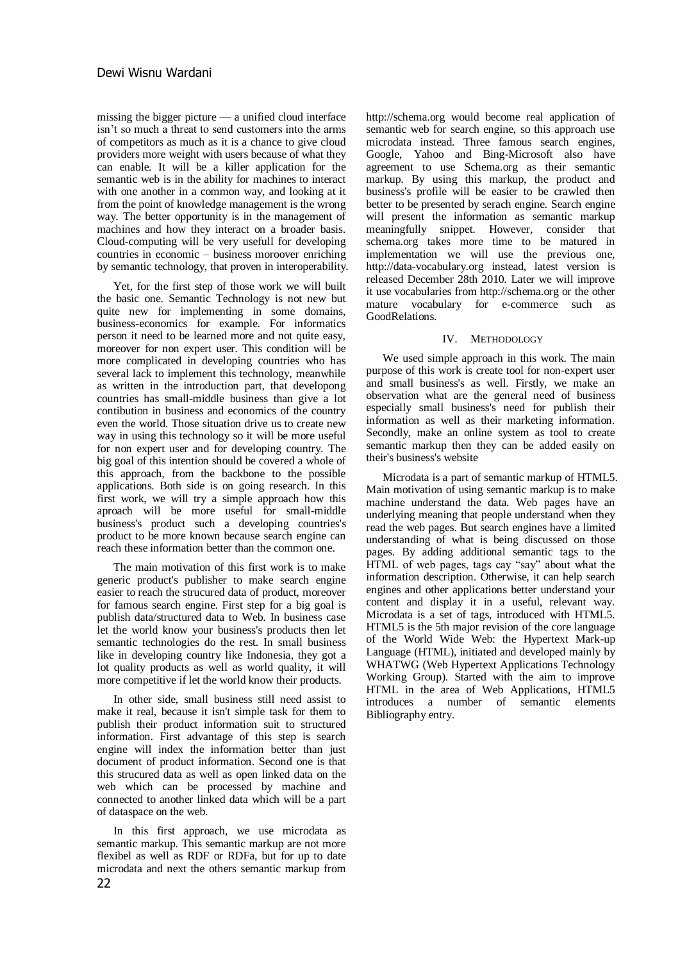missing the bigger picture — a unified cloud interface isn't so much a threat to send customers into the arms of competitors as much as it is a chance to give cloud providers more weight with users because of what they can enable. It will be a killer application for the semantic web is in the ability for machines to interact with one another in a common way, and looking at it from the point of knowledge management is the wrong way. The better opportunity is in the management of machines and how they interact on a broader basis. Cloud-computing will be very usefull for developing countries in economic – business moroover enriching by semantic technology, that proven in interoperability.

Yet, for the first step of those work we will built the basic one. Semantic Technology is not new but quite new for implementing in some domains, business-economics for example. For informatics person it need to be learned more and not quite easy, moreover for non expert user. This condition will be more complicated in developing countries who has several lack to implement this technology, meanwhile as written in the introduction part, that developong countries has small-middle business than give a lot contibution in business and economics of the country even the world. Those situation drive us to create new way in using this technology so it will be more useful for non expert user and for developing country. The big goal of this intention should be covered a whole of this approach, from the backbone to the possible applications. Both side is on going research. In this first work, we will try a simple approach how this aproach will be more useful for small-middle business's product such a developing countries's product to be more known because search engine can reach these information better than the common one.

The main motivation of this first work is to make generic product's publisher to make search engine easier to reach the strucured data of product, moreover for famous search engine. First step for a big goal is publish data/structured data to Web. In business case let the world know your business's products then let semantic technologies do the rest. In small business like in developing country like Indonesia, they got a lot quality products as well as world quality, it will more competitive if let the world know their products.

In other side, small business still need assist to make it real, because it isn't simple task for them to publish their product information suit to structured information. First advantage of this step is search engine will index the information better than just document of product information. Second one is that this strucured data as well as open linked data on the web which can be processed by machine and connected to another linked data which will be a part of dataspace on the web.

In this first approach, we use microdata as semantic markup. This semantic markup are not more flexibel as well as RDF or RDFa, but for up to date microdata and next the others semantic markup from

http://schema.org would become real application of semantic web for search engine, so this approach use microdata instead. Three famous search engines, Google, Yahoo and Bing-Microsoft also have agreement to use Schema.org as their semantic markup. By using this markup, the product and business's profile will be easier to be crawled then better to be presented by serach engine. Search engine will present the information as semantic markup meaningfully snippet. However, consider that schema.org takes more time to be matured in implementation we will use the previous one, http://data-vocabulary.org instead, latest version is released December 28th 2010. Later we will improve it use vocabularies from http://schema.org or the other mature vocabulary for e-commerce such as GoodRelations.

# IV. METHODOLOGY

We used simple approach in this work. The main purpose of this work is create tool for non-expert user and small business's as well. Firstly, we make an observation what are the general need of business especially small business's need for publish their information as well as their marketing information. Secondly, make an online system as tool to create semantic markup then they can be added easily on their's business's website

Microdata is a part of semantic markup of HTML5. Main motivation of using semantic markup is to make machine understand the data. Web pages have an underlying meaning that people understand when they read the web pages. But search engines have a limited understanding of what is being discussed on those pages. By adding additional semantic tags to the HTML of web pages, tags cay "say" about what the information description. Otherwise, it can help search engines and other applications better understand your content and display it in a useful, relevant way. Microdata is a set of tags, introduced with HTML5. HTML5 is the 5th major revision of the core language of the World Wide Web: the Hypertext Mark-up Language (HTML), initiated and developed mainly by WHATWG (Web Hypertext Applications Technology Working Group). Started with the aim to improve HTML in the area of Web Applications, HTML5 introduces a number of semantic elements Bibliography entry.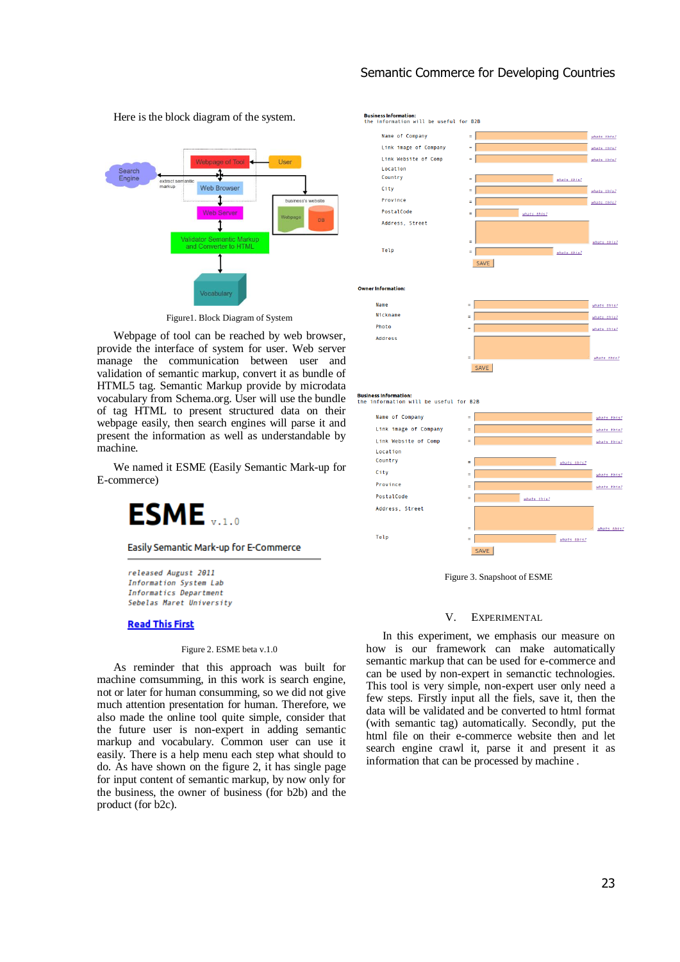# Semantic Commerce for Developing Countries



Here is the block diagram of the system.

Figure1. Block Diagram of System

Webpage of tool can be reached by web browser, provide the interface of system for user. Web server manage the communication between user and validation of semantic markup, convert it as bundle of HTML5 tag. Semantic Markup provide by microdata vocabulary from Schema.org. User will use the bundle of tag HTML to present structured data on their webpage easily, then search engines will parse it and present the information as well as understandable by machine.

We named it ESME (Easily Semantic Mark-up for E-commerce)



Easily Semantic Mark-up for E-Commerce

released August 2011 Information System Lab Informatics Department Sebelas Maret University

#### **Read This First**

#### Figure 2. ESME beta v.1.0

As reminder that this approach was built for machine comsumming, in this work is search engine, not or later for human consumming, so we did not give much attention presentation for human. Therefore, we also made the online tool quite simple, consider that the future user is non-expert in adding semantic markup and vocabulary. Common user can use it easily. There is a help menu each step what should to do. As have shown on the figure 2, it has single page for input content of semantic markup, by now only for the business, the owner of business (for b2b) and the product (for b2c).



**Business Information:**<br>the information will be useful for B2B



Figure 3. Snapshoot of ESME

#### V. EXPERIMENTAL

In this experiment, we emphasis our measure on how is our framework can make automatically semantic markup that can be used for e-commerce and can be used by non-expert in semanctic technologies. This tool is very simple, non-expert user only need a few steps. Firstly input all the fiels, save it, then the data will be validated and be converted to html format (with semantic tag) automatically. Secondly, put the html file on their e-commerce website then and let search engine crawl it, parse it and present it as information that can be processed by machine .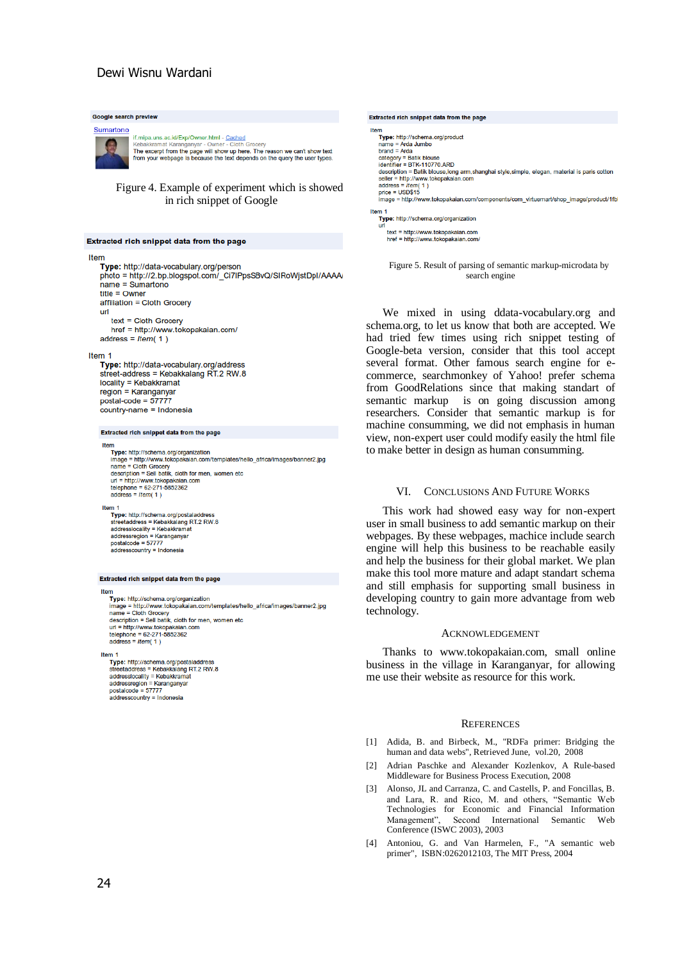# Dewi Wisnu Wardani

# Google search preview Sumartono If.mipa.uns.ac.id/Exp/Owner.html - Cached<br>Kebakkramat Karanganyar - Owner - Cloth Grocery<br>The except from the page will show up here. The reason we can't show text<br>from your webpage is because the text depends on the query Figure 4. Example of experiment which is showed in rich snippet of Google Extracted rich snippet data from the page

#### Item

Type: http://data-vocabulary.org/person photo = http://2.bp.blogspot.com/\_Ci7IPpsSBvQ/SIRoWjstDpI/AAAA/  $name = Sumartono$  $title = Owner$ affiliation = Cloth Grocery url text = Cloth Grocery

href = http://www.tokopakaian.com/ address =  $Item(1)$ 

#### Item 1

Type: http://data-vocabulary.org/address street-address = Kebakkalang RT.2 RW.8 locality = Kebakkramat region = Karanganyar postal-code =  $57777$ .<br>country-name = Indonesia

#### Extracted rich snippet data from the page

em<br>
Type: http://schema.org/organization<br>
nange = http://www.tokopakaian.com/templates/hello\_africa/images/banner2.jpg<br>
name = Cloth Grocery<br>
description = Sell batik, cloth for men, women etc<br>
description = Sell batik, c url = http://www.tokopakaian.com<br>telephone = 62-271-5852362  $\begin{array}{r}\n\text{telephone} = 62-271 \\
\text{address} = Item(1)\n\end{array}$ 

#### Item<sub>1</sub>

Type: http://schema.org/postaladdress<br>streetaddress = Kebakkalang RT.2 RW.8 streetaddress - Rebakkalang<br>addresslocality = Kebakkrama<br>addressregion = Karanganyar<br>postalcode = 57777 addresscountry = Indonesia

#### Extracted rich snippet data from the page

\*\*\*\*<br>Type: http://schema.org/organization<br>limage = http://www.tokopakaian.com/templates/hello\_africa/images/banner2.jpg<br>name = Cloth Grocery<br>description = Sell batik, cloth for men, women etc  $url = http://www.tokopakajan.com$  $\frac{1}{2}$ delephone = 62-271-5852362<br>
address =  $Item(1)$ 

Item 1

.....<br>Type: http://schema.org/postaladdress streetaddress = Kebakkalang RT.2 RW.8 streetaddress - Rebakkrama<br>addresslocality = Kebakkrama<br>addressregion = Karanganyar<br>postalcode = 57777 addresscountry = Indonesia

#### Extracted rich snippet data from the page Itam m<br>Type: http://schema.org/product . naporadneme<br>⊢= Arda Jumbo name = Arda Jumbo<br>brand = Arda<br>category = Batik blouse<br>identifier = BTK-110770.ARD description = Batik blouse, long arm, shanghai style, simple, elegan, material is paris cotton seller = http://www.tokopakajan.com  $address = Item($ ست - ست<br>= USD\$1: image = http://www.tokopakaian.com/components/com virtuemart/shop image/product/1fbl Item 1 Type: http://schema.org/organization ur text = http://www.tokopakajan.com href = http://www.tokopakaian.com

Figure 5. Result of parsing of semantic markup-microdata by search engine

We mixed in using ddata-vocabulary.org and schema.org, to let us know that both are accepted. We had tried few times using rich snippet testing of Google-beta version, consider that this tool accept several format. Other famous search engine for ecommerce, searchmonkey of Yahoo! prefer schema from GoodRelations since that making standart of semantic markup is on going discussion among researchers. Consider that semantic markup is for machine consumming, we did not emphasis in human view, non-expert user could modify easily the html file to make better in design as human consumming.

#### VI. CONCLUSIONS AND FUTURE WORKS

This work had showed easy way for non-expert user in small business to add semantic markup on their webpages. By these webpages, machice include search engine will help this business to be reachable easily and help the business for their global market. We plan make this tool more mature and adapt standart schema and still emphasis for supporting small business in developing country to gain more advantage from web technology.

#### ACKNOWLEDGEMENT

Thanks to www.tokopakaian.com, small online business in the village in Karanganyar, for allowing me use their website as resource for this work.

#### **REFERENCES**

- [1] Adida, B. and Birbeck, M., "RDFa primer: Bridging the human and data webs", Retrieved June, vol.20, 2008
- [2] Adrian Paschke and Alexander Kozlenkov, A Rule-based Middleware for Business Process Execution, 2008
- [3] Alonso, JL and Carranza, C. and Castells, P. and Foncillas, B. and Lara, R. and Rico, M. and others, "Semantic Web Technologies for Economic and Financial Information Second International Semantic Web Conference (ISWC 2003), 2003
- [4] Antoniou, G. and Van Harmelen, F., "A semantic web primer", ISBN:0262012103, The MIT Press, 2004